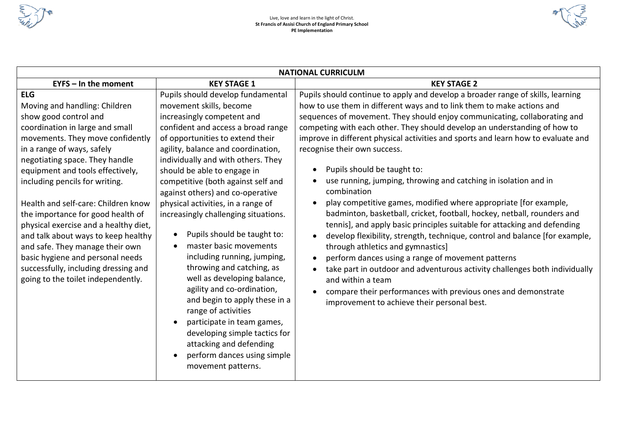



| <b>NATIONAL CURRICULM</b>                                                                                                                                                                                                                                                                                                                                                                                                                                                                                                                                                                          |                                                                                                                                                                                                                                                                                                                                                                                                                                                                                                                                                                                                                                                                                                                                                                                                                                               |                                                                                                                                                                                                                                                                                                                                                                                                                                                                                                                                                                                                                                                                                                                                                                                                                                                                                                                                                                                                                                                                                                                                                                                  |  |  |  |  |  |
|----------------------------------------------------------------------------------------------------------------------------------------------------------------------------------------------------------------------------------------------------------------------------------------------------------------------------------------------------------------------------------------------------------------------------------------------------------------------------------------------------------------------------------------------------------------------------------------------------|-----------------------------------------------------------------------------------------------------------------------------------------------------------------------------------------------------------------------------------------------------------------------------------------------------------------------------------------------------------------------------------------------------------------------------------------------------------------------------------------------------------------------------------------------------------------------------------------------------------------------------------------------------------------------------------------------------------------------------------------------------------------------------------------------------------------------------------------------|----------------------------------------------------------------------------------------------------------------------------------------------------------------------------------------------------------------------------------------------------------------------------------------------------------------------------------------------------------------------------------------------------------------------------------------------------------------------------------------------------------------------------------------------------------------------------------------------------------------------------------------------------------------------------------------------------------------------------------------------------------------------------------------------------------------------------------------------------------------------------------------------------------------------------------------------------------------------------------------------------------------------------------------------------------------------------------------------------------------------------------------------------------------------------------|--|--|--|--|--|
| $EYPS - In$ the moment                                                                                                                                                                                                                                                                                                                                                                                                                                                                                                                                                                             | <b>KEY STAGE 1</b>                                                                                                                                                                                                                                                                                                                                                                                                                                                                                                                                                                                                                                                                                                                                                                                                                            | <b>KEY STAGE 2</b>                                                                                                                                                                                                                                                                                                                                                                                                                                                                                                                                                                                                                                                                                                                                                                                                                                                                                                                                                                                                                                                                                                                                                               |  |  |  |  |  |
| <b>ELG</b><br>Moving and handling: Children<br>show good control and<br>coordination in large and small<br>movements. They move confidently<br>in a range of ways, safely<br>negotiating space. They handle<br>equipment and tools effectively,<br>including pencils for writing.<br>Health and self-care: Children know<br>the importance for good health of<br>physical exercise and a healthy diet,<br>and talk about ways to keep healthy<br>and safe. They manage their own<br>basic hygiene and personal needs<br>successfully, including dressing and<br>going to the toilet independently. | Pupils should develop fundamental<br>movement skills, become<br>increasingly competent and<br>confident and access a broad range<br>of opportunities to extend their<br>agility, balance and coordination,<br>individually and with others. They<br>should be able to engage in<br>competitive (both against self and<br>against others) and co-operative<br>physical activities, in a range of<br>increasingly challenging situations.<br>Pupils should be taught to:<br>$\bullet$<br>master basic movements<br>including running, jumping,<br>throwing and catching, as<br>well as developing balance,<br>agility and co-ordination,<br>and begin to apply these in a<br>range of activities<br>participate in team games,<br>developing simple tactics for<br>attacking and defending<br>perform dances using simple<br>movement patterns. | Pupils should continue to apply and develop a broader range of skills, learning<br>how to use them in different ways and to link them to make actions and<br>sequences of movement. They should enjoy communicating, collaborating and<br>competing with each other. They should develop an understanding of how to<br>improve in different physical activities and sports and learn how to evaluate and<br>recognise their own success.<br>Pupils should be taught to:<br>use running, jumping, throwing and catching in isolation and in<br>combination<br>play competitive games, modified where appropriate [for example,<br>badminton, basketball, cricket, football, hockey, netball, rounders and<br>tennis], and apply basic principles suitable for attacking and defending<br>develop flexibility, strength, technique, control and balance [for example,<br>through athletics and gymnastics]<br>perform dances using a range of movement patterns<br>take part in outdoor and adventurous activity challenges both individually<br>and within a team<br>compare their performances with previous ones and demonstrate<br>improvement to achieve their personal best. |  |  |  |  |  |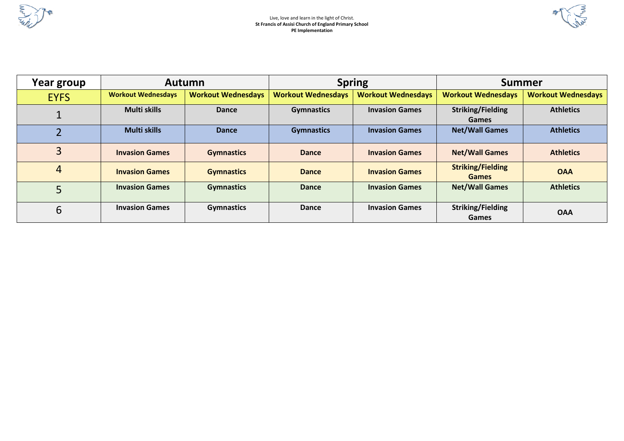

 $\mathbb{R}$ 

| Year group  | <b>Autumn</b>             |                           |                           | <b>Spring</b>             | <b>Summer</b>                            |                           |  |
|-------------|---------------------------|---------------------------|---------------------------|---------------------------|------------------------------------------|---------------------------|--|
| <b>EYFS</b> | <b>Workout Wednesdays</b> | <b>Workout Wednesdays</b> | <b>Workout Wednesdays</b> | <b>Workout Wednesdays</b> | <b>Workout Wednesdays</b>                | <b>Workout Wednesdays</b> |  |
|             | Multi skills              | Dance                     | <b>Gymnastics</b>         | <b>Invasion Games</b>     | <b>Striking/Fielding</b><br><b>Games</b> | <b>Athletics</b>          |  |
|             | <b>Multi skills</b>       | Dance                     | <b>Gymnastics</b>         | <b>Invasion Games</b>     | <b>Net/Wall Games</b>                    | <b>Athletics</b>          |  |
| 3           | <b>Invasion Games</b>     | <b>Gymnastics</b>         | <b>Dance</b>              | <b>Invasion Games</b>     | <b>Net/Wall Games</b>                    | <b>Athletics</b>          |  |
| 4           | <b>Invasion Games</b>     | <b>Gymnastics</b>         | <b>Dance</b>              | <b>Invasion Games</b>     | <b>Striking/Fielding</b><br><b>Games</b> | <b>OAA</b>                |  |
|             | <b>Invasion Games</b>     | <b>Gymnastics</b>         | <b>Dance</b>              | <b>Invasion Games</b>     | <b>Net/Wall Games</b>                    | <b>Athletics</b>          |  |
| 6           | <b>Invasion Games</b>     | <b>Gymnastics</b>         | <b>Dance</b>              | <b>Invasion Games</b>     | <b>Striking/Fielding</b><br>Games        | <b>OAA</b>                |  |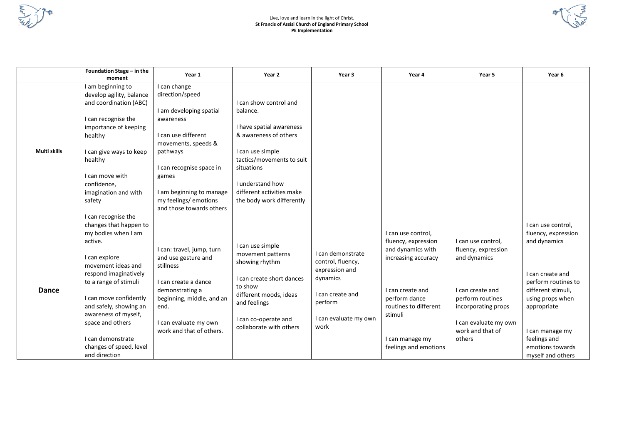

## Live, love and learn in the light of Christ. **St Francis of Assisi Church of England Primary School PE Implementation**

 $\mathbb{R}$ 

|              | Foundation Stage - in the<br>moment                                                                                                                                                                                                                                                                                | Year 1                                                                                                                                                                                                                                                  | Year 2                                                                                                                                                                                                                               | Year 3                                                                                                                               | Year 4                                                                                                                                                                                                     | Year 5                                                                                                                                                                          | Year 6                                                                                                                                                                                                                                    |
|--------------|--------------------------------------------------------------------------------------------------------------------------------------------------------------------------------------------------------------------------------------------------------------------------------------------------------------------|---------------------------------------------------------------------------------------------------------------------------------------------------------------------------------------------------------------------------------------------------------|--------------------------------------------------------------------------------------------------------------------------------------------------------------------------------------------------------------------------------------|--------------------------------------------------------------------------------------------------------------------------------------|------------------------------------------------------------------------------------------------------------------------------------------------------------------------------------------------------------|---------------------------------------------------------------------------------------------------------------------------------------------------------------------------------|-------------------------------------------------------------------------------------------------------------------------------------------------------------------------------------------------------------------------------------------|
| Multi skills | I am beginning to<br>develop agility, balance<br>and coordination (ABC)<br>I can recognise the<br>importance of keeping<br>healthy<br>I can give ways to keep<br>healthy<br>I can move with<br>confidence,<br>imagination and with<br>safety<br>I can recognise the                                                | I can change<br>direction/speed<br>I am developing spatial<br>awareness<br>I can use different<br>movements, speeds &<br>pathways<br>I can recognise space in<br>games<br>I am beginning to manage<br>my feelings/ emotions<br>and those towards others | I can show control and<br>balance.<br>I have spatial awareness<br>& awareness of others<br>I can use simple<br>tactics/movements to suit<br>situations<br>I understand how<br>different activities make<br>the body work differently |                                                                                                                                      |                                                                                                                                                                                                            |                                                                                                                                                                                 |                                                                                                                                                                                                                                           |
| <b>Dance</b> | changes that happen to<br>my bodies when I am<br>active.<br>I can explore<br>movement ideas and<br>respond imaginatively<br>to a range of stimuli<br>I can move confidently<br>and safely, showing an<br>awareness of myself,<br>space and others<br>I can demonstrate<br>changes of speed, level<br>and direction | I can: travel, jump, turn<br>and use gesture and<br>stillness<br>I can create a dance<br>demonstrating a<br>beginning, middle, and an<br>end.<br>I can evaluate my own<br>work and that of others.                                                      | I can use simple<br>movement patterns<br>showing rhythm<br>I can create short dances<br>to show<br>different moods, ideas<br>and feelings<br>I can co-operate and<br>collaborate with others                                         | I can demonstrate<br>control, fluency,<br>expression and<br>dynamics<br>I can create and<br>perform<br>I can evaluate my own<br>work | I can use control,<br>fluency, expression<br>and dynamics with<br>increasing accuracy<br>I can create and<br>perform dance<br>routines to different<br>stimuli<br>I can manage my<br>feelings and emotions | I can use control,<br>fluency, expression<br>and dynamics<br>I can create and<br>perform routines<br>incorporating props<br>I can evaluate my own<br>work and that of<br>others | I can use control,<br>fluency, expression<br>and dynamics<br>I can create and<br>perform routines to<br>different stimuli,<br>using props when<br>appropriate<br>I can manage my<br>feelings and<br>emotions towards<br>myself and others |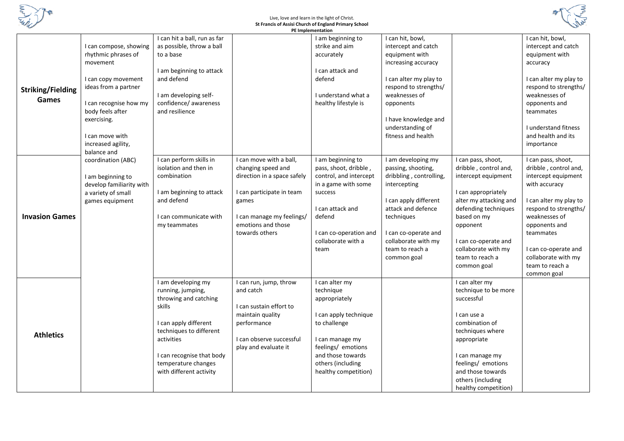

## Live, love and learn in the light of Christ. **St Francis of Assisi Church of England Primary School**



|                          |                          |                              |                             | PE Implementation      |                         |                        |                        |
|--------------------------|--------------------------|------------------------------|-----------------------------|------------------------|-------------------------|------------------------|------------------------|
|                          |                          | I can hit a ball, run as far |                             | I am beginning to      | I can hit, bowl,        |                        | I can hit, bowl,       |
|                          | I can compose, showing   | as possible, throw a ball    |                             | strike and aim         | intercept and catch     |                        | intercept and catch    |
|                          | rhythmic phrases of      | to a base                    |                             | accurately             | equipment with          |                        | equipment with         |
|                          | movement                 |                              |                             |                        | increasing accuracy     |                        | accuracy               |
|                          |                          | I am beginning to attack     |                             | I can attack and       |                         |                        |                        |
|                          | I can copy movement      | and defend                   |                             | defend                 | I can alter my play to  |                        | I can alter my play to |
| <b>Striking/Fielding</b> | ideas from a partner     |                              |                             |                        | respond to strengths/   |                        | respond to strengths/  |
|                          |                          | I am developing self-        |                             | I understand what a    | weaknesses of           |                        | weaknesses of          |
| <b>Games</b>             | I can recognise how my   | confidence/ awareness        |                             | healthy lifestyle is   | opponents               |                        | opponents and          |
|                          | body feels after         | and resilience               |                             |                        |                         |                        | teammates              |
|                          | exercising.              |                              |                             |                        | I have knowledge and    |                        |                        |
|                          |                          |                              |                             |                        | understanding of        |                        | I understand fitness   |
|                          | I can move with          |                              |                             |                        | fitness and health      |                        | and health and its     |
|                          | increased agility,       |                              |                             |                        |                         |                        | importance             |
|                          | balance and              |                              |                             |                        |                         |                        |                        |
|                          | coordination (ABC)       | I can perform skills in      | I can move with a ball,     | I am beginning to      | I am developing my      | I can pass, shoot,     | I can pass, shoot,     |
|                          |                          | isolation and then in        | changing speed and          | pass, shoot, dribble,  | passing, shooting,      | dribble, control and,  | dribble, control and,  |
|                          | I am beginning to        | combination                  | direction in a space safely | control, and intercept | dribbling, controlling, | intercept equipment    | intercept equipment    |
|                          | develop familiarity with |                              |                             | in a game with some    | intercepting            |                        | with accuracy          |
|                          | a variety of small       | I am beginning to attack     | I can participate in team   | success                |                         | I can appropriately    |                        |
|                          | games equipment          | and defend                   | games                       |                        | I can apply different   | alter my attacking and | I can alter my play to |
|                          |                          |                              |                             | I can attack and       | attack and defence      | defending techniques   | respond to strengths/  |
| <b>Invasion Games</b>    |                          | I can communicate with       | I can manage my feelings/   | defend                 | techniques              | based on my            | weaknesses of          |
|                          |                          | my teammates                 | emotions and those          |                        |                         | opponent               | opponents and          |
|                          |                          |                              | towards others              | I can co-operation and | I can co-operate and    |                        | teammates              |
|                          |                          |                              |                             | collaborate with a     | collaborate with my     | I can co-operate and   |                        |
|                          |                          |                              |                             | team                   | team to reach a         | collaborate with my    | I can co-operate and   |
|                          |                          |                              |                             |                        | common goal             | team to reach a        | collaborate with my    |
|                          |                          |                              |                             |                        |                         | common goal            | team to reach a        |
|                          |                          |                              |                             |                        |                         |                        | common goal            |
|                          |                          | I am developing my           | I can run, jump, throw      | I can alter my         |                         | I can alter my         |                        |
|                          |                          | running, jumping,            | and catch                   | technique              |                         | technique to be more   |                        |
|                          |                          | throwing and catching        |                             | appropriately          |                         | successful             |                        |
|                          |                          | skills                       | I can sustain effort to     |                        |                         |                        |                        |
|                          |                          |                              | maintain quality            | I can apply technique  |                         | I can use a            |                        |
|                          |                          | can apply different          | performance                 | to challenge           |                         | combination of         |                        |
| <b>Athletics</b>         |                          | techniques to different      |                             |                        |                         | techniques where       |                        |
|                          |                          | activities                   | I can observe successful    | I can manage my        |                         | appropriate            |                        |
|                          |                          |                              | play and evaluate it        | feelings/ emotions     |                         |                        |                        |
|                          |                          | I can recognise that body    |                             | and those towards      |                         | I can manage my        |                        |
|                          |                          | temperature changes          |                             | others (including      |                         | feelings/ emotions     |                        |
|                          |                          | with different activity      |                             | healthy competition)   |                         | and those towards      |                        |
|                          |                          |                              |                             |                        |                         | others (including      |                        |
|                          |                          |                              |                             |                        |                         | healthy competition)   |                        |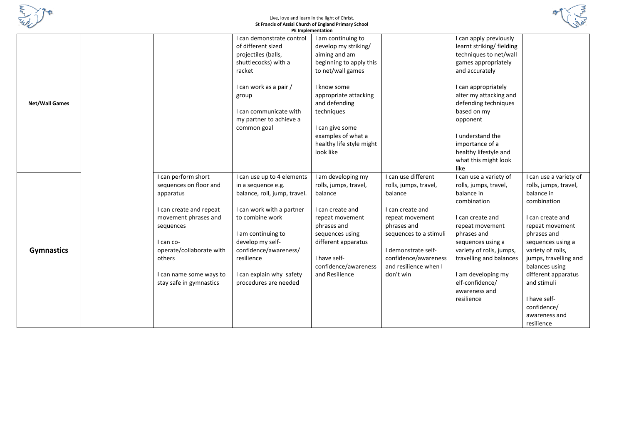

## Live, love and learn in the light of Christ. **St Francis of Assisi Church of England Primary School**



|                       |                          |                              | <b>PE</b> Implementation |                        |                          |                        |
|-----------------------|--------------------------|------------------------------|--------------------------|------------------------|--------------------------|------------------------|
|                       |                          | can demonstrate control      | I am continuing to       |                        | I can apply previously   |                        |
|                       |                          | of different sized           | develop my striking/     |                        | learnt striking/fielding |                        |
|                       |                          | projectiles (balls,          | aiming and am            |                        | techniques to net/wall   |                        |
|                       |                          | shuttlecocks) with a         | beginning to apply this  |                        | games appropriately      |                        |
|                       |                          | racket                       | to net/wall games        |                        | and accurately           |                        |
|                       |                          |                              |                          |                        |                          |                        |
|                       |                          | I can work as a pair /       | I know some              |                        | I can appropriately      |                        |
|                       |                          | group                        | appropriate attacking    |                        | alter my attacking and   |                        |
| <b>Net/Wall Games</b> |                          |                              | and defending            |                        | defending techniques     |                        |
|                       |                          | I can communicate with       | techniques               |                        | based on my              |                        |
|                       |                          | my partner to achieve a      |                          |                        | opponent                 |                        |
|                       |                          | common goal                  | I can give some          |                        |                          |                        |
|                       |                          |                              | examples of what a       |                        | I understand the         |                        |
|                       |                          |                              | healthy life style might |                        | importance of a          |                        |
|                       |                          |                              | look like                |                        | healthy lifestyle and    |                        |
|                       |                          |                              |                          |                        | what this might look     |                        |
|                       |                          |                              |                          |                        | like                     |                        |
|                       | I can perform short      | I can use up to 4 elements   | I am developing my       | I can use different    | I can use a variety of   | I can use a variety of |
|                       | sequences on floor and   | in a sequence e.g.           | rolls, jumps, travel,    | rolls, jumps, travel,  | rolls, jumps, travel,    | rolls, jumps, travel,  |
|                       | apparatus                | balance, roll, jump, travel. | balance                  | balance                | balance in               | balance in             |
|                       |                          |                              |                          |                        | combination              | combination            |
|                       | I can create and repeat  | I can work with a partner    | I can create and         | I can create and       |                          |                        |
|                       | movement phrases and     | to combine work              | repeat movement          | repeat movement        | I can create and         | I can create and       |
|                       | sequences                |                              | phrases and              | phrases and            | repeat movement          | repeat movement        |
|                       |                          | I am continuing to           | sequences using          | sequences to a stimuli | phrases and              | phrases and            |
|                       | I can co-                | develop my self-             | different apparatus      |                        | sequences using a        | sequences using a      |
| <b>Gymnastics</b>     | operate/collaborate with | confidence/awareness/        |                          | I demonstrate self-    | variety of rolls, jumps, | variety of rolls,      |
|                       | others                   | resilience                   | I have self-             | confidence/awareness   | travelling and balances  | jumps, travelling and  |
|                       |                          |                              | confidence/awareness     | and resilience when I  |                          | balances using         |
|                       | I can name some ways to  | I can explain why safety     | and Resilience           | don't win              | I am developing my       | different apparatus    |
|                       | stay safe in gymnastics  | procedures are needed        |                          |                        | elf-confidence/          | and stimuli            |
|                       |                          |                              |                          |                        | awareness and            |                        |
|                       |                          |                              |                          |                        | resilience               | I have self-           |
|                       |                          |                              |                          |                        |                          | confidence/            |
|                       |                          |                              |                          |                        |                          | awareness and          |
|                       |                          |                              |                          |                        |                          | resilience             |